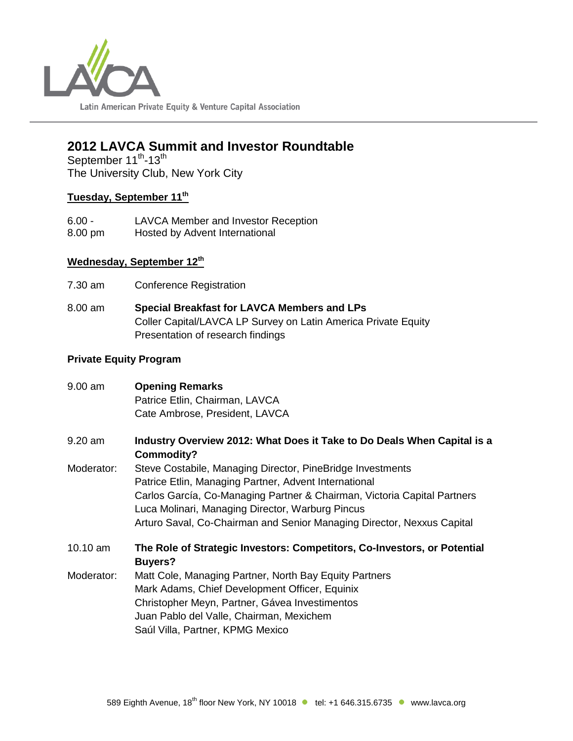

# **2012 LAVCA Summit and Investor Roundtable**

September 11<sup>th</sup>-13<sup>th</sup> The University Club, New York City

## **Tuesday, September 11th**

6.00 - LAVCA Member and Investor Reception 8.00 pm Hosted by Advent International

## **Wednesday, September 12th**

- 7.30 am Conference Registration
- 8.00 am **Special Breakfast for LAVCA Members and LPs** Coller Capital/LAVCA LP Survey on Latin America Private Equity Presentation of research findings

## **Private Equity Program**

| 9.00 am    | <b>Opening Remarks</b>                                                                     |
|------------|--------------------------------------------------------------------------------------------|
|            | Patrice Etlin, Chairman, LAVCA                                                             |
|            | Cate Ambrose, President, LAVCA                                                             |
| 9.20 am    | Industry Overview 2012: What Does it Take to Do Deals When Capital is a<br>Commodity?      |
| Moderator: | Steve Costabile, Managing Director, PineBridge Investments                                 |
|            | Patrice Etlin, Managing Partner, Advent International                                      |
|            | Carlos García, Co-Managing Partner & Chairman, Victoria Capital Partners                   |
|            | Luca Molinari, Managing Director, Warburg Pincus                                           |
|            | Arturo Saval, Co-Chairman and Senior Managing Director, Nexxus Capital                     |
| 10.10 am   | The Role of Strategic Investors: Competitors, Co-Investors, or Potential<br><b>Buyers?</b> |
| Moderator: | Matt Cole, Managing Partner, North Bay Equity Partners                                     |
|            | Mark Adams, Chief Development Officer, Equinix                                             |
|            | Christopher Meyn, Partner, Gávea Investimentos                                             |
|            | Juan Pablo del Valle, Chairman, Mexichem                                                   |
|            | Saúl Villa, Partner, KPMG Mexico                                                           |
|            |                                                                                            |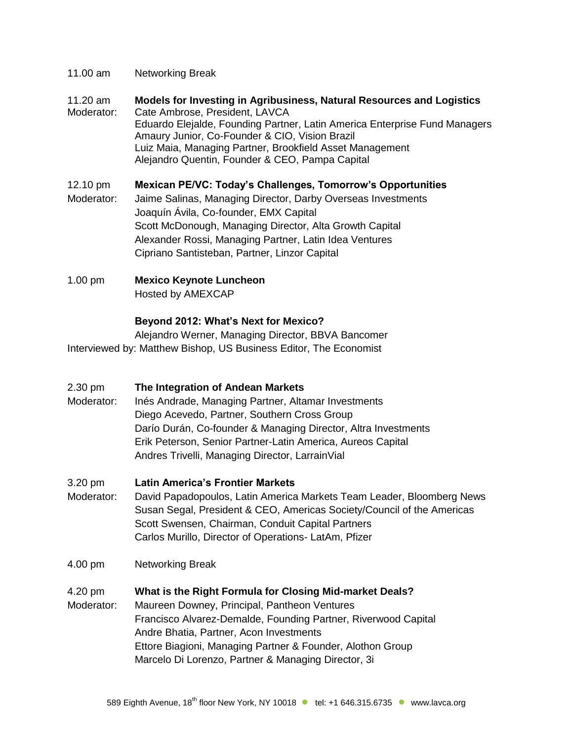- 11.00 am Networking Break
- 11.20 am **Models for Investing in Agribusiness, Natural Resources and Logistics** Moderator: Cate Ambrose, President, LAVCA Eduardo Elejalde, Founding Partner, Latin America Enterprise Fund Managers Amaury Junior, Co-Founder & CIO, Vision Brazil Luiz Maia, Managing Partner, Brookfield Asset Management Alejandro Quentin, Founder & CEO, Pampa Capital
- 12.10 pm **Mexican PE/VC: Today's Challenges, Tomorrow's Opportunities** Moderator: Jaime Salinas, Managing Director, Darby Overseas Investments Joaquín Ávila, Co-founder, EMX Capital Scott McDonough, Managing Director, Alta Growth Capital Alexander Rossi, Managing Partner, Latin Idea Ventures Cipriano Santisteban, Partner, Linzor Capital
- 1.00 pm **Mexico Keynote Luncheon** Hosted by AMEXCAP

## **Beyond 2012: What's Next for Mexico?**

Alejandro Werner, Managing Director, BBVA Bancomer Interviewed by: Matthew Bishop, US Business Editor, The Economist

- 2.30 pm **The Integration of Andean Markets**
- Moderator: Inés Andrade, Managing Partner, Altamar Investments Diego Acevedo, Partner, Southern Cross Group Darío Durán, Co-founder & Managing Director, Altra Investments Erik Peterson, Senior Partner-Latin America, Aureos Capital Andres Trivelli, Managing Director, LarrainVial
- 3.20 pm **Latin America's Frontier Markets**
- Moderator: David Papadopoulos, Latin America Markets Team Leader, Bloomberg News Susan Segal, President & CEO, Americas Society/Council of the Americas Scott Swensen, Chairman, Conduit Capital Partners Carlos Murillo, Director of Operations- LatAm, Pfizer
- 4.00 pm Networking Break
- 4.20 pm **What is the Right Formula for Closing Mid-market Deals?**
- Moderator: Maureen Downey, Principal, Pantheon Ventures Francisco Alvarez-Demalde, Founding Partner, Riverwood Capital Andre Bhatia, Partner, Acon Investments Ettore Biagioni, Managing Partner & Founder, Alothon Group Marcelo Di Lorenzo, Partner & Managing Director, 3i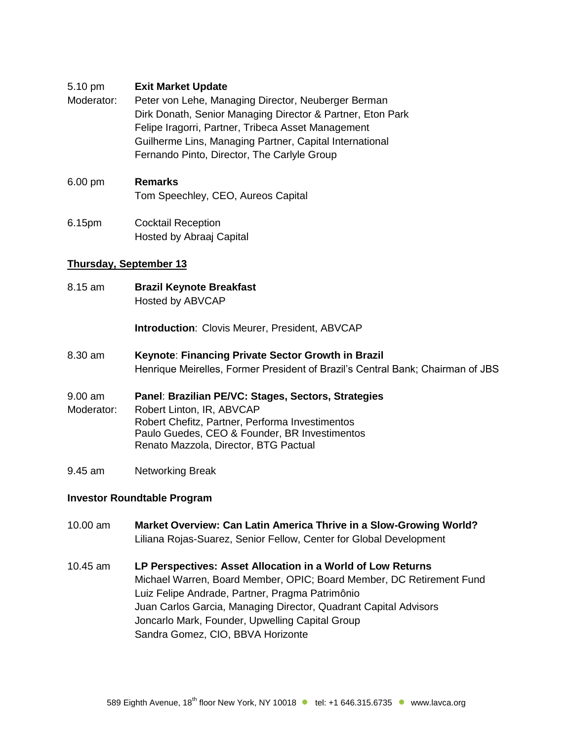### 5.10 pm **Exit Market Update**

Moderator: Peter von Lehe, Managing Director, Neuberger Berman Dirk Donath, Senior Managing Director & Partner, Eton Park Felipe Iragorri, Partner, Tribeca Asset Management Guilherme Lins, Managing Partner, Capital International Fernando Pinto, Director, The Carlyle Group

## 6.00 pm **Remarks**  Tom Speechley, CEO, Aureos Capital

6.15pm Cocktail Reception Hosted by Abraaj Capital

### **Thursday, September 13**

8.15 am **Brazil Keynote Breakfast** Hosted by ABVCAP

**Introduction**: Clovis Meurer, President, ABVCAP

- 8.30 am **Keynote**: **Financing Private Sector Growth in Brazil**  Henrique Meirelles, Former President of Brazil's Central Bank; Chairman of JBS
- 9.00 am **Panel**: **Brazilian PE/VC: Stages, Sectors, Strategies**
- Moderator: Robert Linton, IR, ABVCAP Robert Chefitz, Partner, Performa Investimentos Paulo Guedes, CEO & Founder, BR Investimentos Renato Mazzola, Director, BTG Pactual
- 9.45 am Networking Break

#### **Investor Roundtable Program**

- 10.00 am **Market Overview: Can Latin America Thrive in a Slow-Growing World?** Liliana Rojas-Suarez, Senior Fellow, Center for Global Development
- 10.45 am **LP Perspectives: Asset Allocation in a World of Low Returns** Michael Warren, Board Member, OPIC; Board Member, DC Retirement Fund Luiz Felipe Andrade, Partner, Pragma Patrimônio Juan Carlos Garcia, Managing Director, Quadrant Capital Advisors Joncarlo Mark, Founder, Upwelling Capital Group Sandra Gomez, CIO, BBVA Horizonte